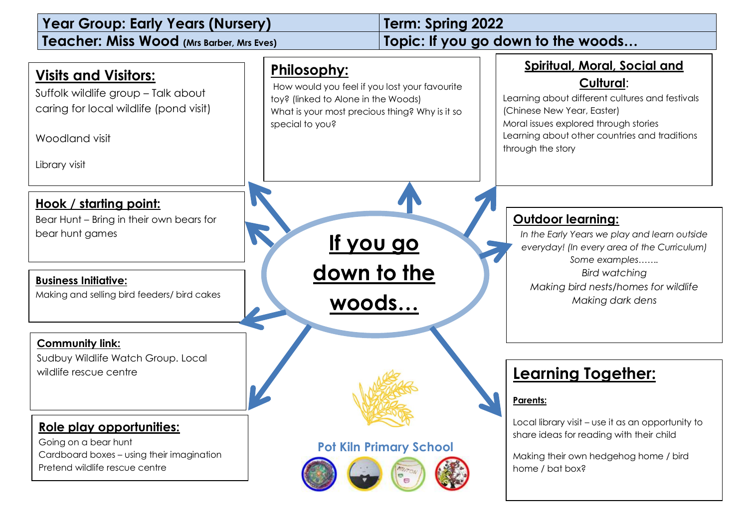